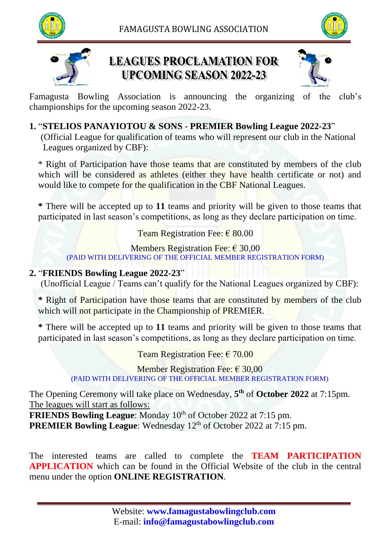





## **LEAGUES PROCLAMATION FOR UPCOMING SEASON 2022-23**



Famagusta Bowling Association is announcing the organizing of the club's championships for the upcoming season 2022-23.

### **1.** "**STELIOS PANAYIOTOU & SONS - PREMIER Bowling League 2022-23**"

 (Official League for qualification of teams who will represent our club in the National Leagues organized by CBF):

\* Right of Participation have those teams that are constituted by members of the club which will be considered as athletes (either they have health certificate or not) and would like to compete for the qualification in the CBF National Leagues.

**\*** There will be accepted up to **11** teams and priority will be given to those teams that participated in last season's competitions, as long as they declare participation on time.

Team Registration Fee:  $\epsilon$  80.00

Members Registration Fee:  $\epsilon$  30,00 (PAID WITH DELIVERING OF THE OFFICIAL MEMBER REGISTRATION FORM)

#### **2.** "**FRIENDS Bowling League 2022-23**"

(Unofficial League / Teams can't qualify for the National Leagues organized by CBF):

**\*** Right of Participation have those teams that are constituted by members of the club which will not participate in the Championship of PREMIER.

**\*** There will be accepted up to **11** teams and priority will be given to those teams that participated in last season's competitions, as long as they declare participation on time.

Team Registration Fee:  $\epsilon$  70.00

Member Registration Fee:  $\epsilon$  30,00 (PAID WITH DELIVERING OF THE OFFICIAL MEMBER REGISTRATION FORM)

The Opening Ceremony will take place on Wednesday, **5 th** of **October 2022** at 7:15pm. The leagues will start as follows:

**FRIENDS Bowling League:** Monday 10<sup>th</sup> of October 2022 at 7:15 pm. **PREMIER Bowling League:** Wednesday 12<sup>th</sup> of October 2022 at 7:15 pm.

The interested teams are called to complete the **TEAM PARTICIPATION APPLICATION** which can be found in the Official Website of the club in the central menu under the option **ONLINE REGISTRATION**.